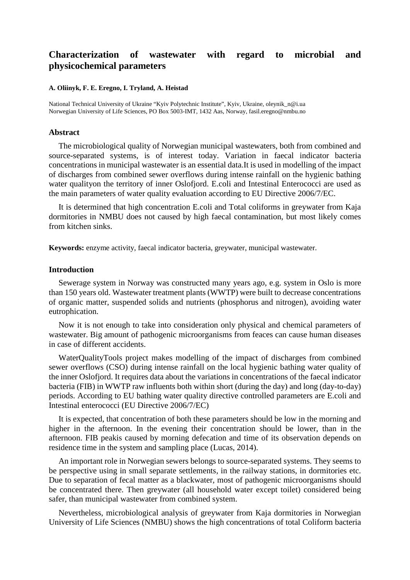# **Characterization of wastewater with regard to microbial and physicochemical parameters**

#### **A. Oliinyk, F. E. Eregno, I. Tryland, A. Heistad**

National Technical University of Ukraine "Kyiv Polytechnic Institute", Kyiv, Ukraine, oleynik\_n@i.ua Norwegian University of Life Sciences, PO Box 5003-IMT, 1432 Aas, Norway, fasil.eregno@nmbu.no

#### **Abstract**

The microbiological quality of Norwegian municipal wastewaters, both from combined and source-separated systems, is of interest today. Variation in faecal indicator bacteria concentrations in municipal wastewater is an essential data.It is used in modelling of the impact of discharges from combined sewer overflows during intense rainfall on the hygienic bathing water qualityon the territory of inner Oslofjord. E.coli and Intestinal Enterococci are used as the main parameters of water quality evaluation according to EU Directive 2006/7/EC.

It is determined that high concentration E.coli and Total coliforms in greywater from Kaja dormitories in NMBU does not caused by high faecal contamination, but most likely comes from kitchen sinks.

**Keywords:** enzyme activity, faecal indicator bacteria, greywater, municipal wastewater.

## **Introduction**

Sewerage system in Norway was constructed many years ago, e.g. system in Oslo is more than 150 years old. Wastewater treatment plants (WWTP) were built to decrease concentrations of organic matter, suspended solids and nutrients (phosphorus and nitrogen), avoiding water eutrophication.

Now it is not enough to take into consideration only physical and chemical parameters of wastewater. Big amount of pathogenic microorganisms from feaces can cause human diseases in case of different accidents.

WaterQualityTools project makes modelling of the impact of discharges from combined sewer overflows (CSO) during intense rainfall on the local hygienic bathing water quality of the inner Oslofjord. It requires data about the variations in concentrations of the faecal indicator bacteria (FIB) in WWTP raw influents both within short (during the day) and long (day-to-day) periods. According to EU bathing water quality directive controlled parameters are E.coli and Intestinal enterococci (EU Directive 2006/7/EC)

It is expected, that concentration of both these parameters should be low in the morning and higher in the afternoon. In the evening their concentration should be lower, than in the afternoon. FIB peakis caused by morning defecation and time of its observation depends on residence time in the system and sampling place (Lucas, 2014).

An important role in Norwegian sewers belongs to source-separated systems. They seems to be perspective using in small separate settlements, in the railway stations, in dormitories etc. Due to separation of fecal matter as a blackwater, most of pathogenic microorganisms should be concentrated there. Then greywater (all household water except toilet) considered being safer, than municipal wastewater from combined system.

Nevertheless, microbiological analysis of greywater from Kaja dormitories in Norwegian University of Life Sciences (NMBU) shows the high concentrations of total Coliform bacteria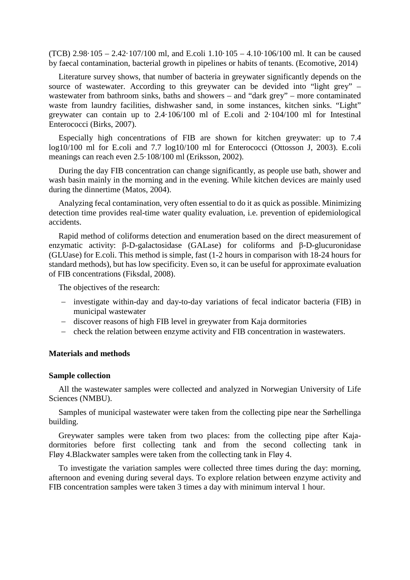(TCB) 2.98·105 – 2.42·107/100 ml, and E.coli 1.10·105 – 4.10·106/100 ml. It can be caused by faecal contamination, bacterial growth in pipelines or habits of tenants. (Ecomotive, 2014)

Literature survey shows, that number of bacteria in greywater significantly depends on the source of wastewater. According to this greywater can be devided into "light grey" – wastewater from bathroom sinks, baths and showers – and "dark grey" – more contaminated waste from laundry facilities, dishwasher sand, in some instances, kitchen sinks. "Light" greywater can contain up to 2.4·106/100 ml of E.coli and 2·104/100 ml for Intestinal Enterococci (Birks, 2007).

Especially high concentrations of FIB are shown for kitchen greywater: up to 7.4 log10/100 ml for E.coli and 7.7 log10/100 ml for Enterococci (Ottosson J, 2003). E.coli meanings can reach even 2.5·108/100 ml (Eriksson, 2002).

During the day FIB concentration can change significantly, as people use bath, shower and wash basin mainly in the morning and in the evening. While kitchen devices are mainly used during the dinnertime (Matos, 2004).

Analyzing fecal contamination, very often essential to do it as quick as possible. Minimizing detection time provides real-time water quality evaluation, i.e. prevention of epidemiological accidents.

Rapid method of coliforms detection and enumeration based on the direct measurement of enzymatic activity: β-D-galactosidase (GALase) for coliforms and β-D-glucuronidase (GLUase) for E.coli. This method is simple, fast (1-2 hours in comparison with 18-24 hours for standard methods), but has low specificity. Even so, it can be useful for approximate evaluation of FIB concentrations (Fiksdal, 2008).

The objectives of the research:

- − investigate within-day and day-to-day variations of fecal indicator bacteria (FIB) in municipal wastewater
- − discover reasons of high FIB level in greywater from Kaja dormitories
- − check the relation between enzyme activity and FIB concentration in wastewaters.

## **Materials and methods**

#### **Sample collection**

All the wastewater samples were collected and analyzed in Norwegian University of Life Sciences (NMBU).

Samples of municipal wastewater were taken from the collecting pipe near the Sørhellinga building.

Greywater samples were taken from two places: from the collecting pipe after Kajadormitories before first collecting tank and from the second collecting tank in Fløy 4.Blackwater samples were taken from the collecting tank in Fløy 4.

To investigate the variation samples were collected three times during the day: morning, afternoon and evening during several days. To explore relation between enzyme activity and FIB concentration samples were taken 3 times a day with minimum interval 1 hour.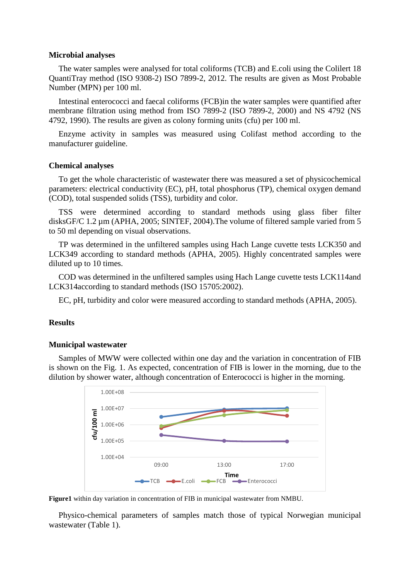#### **Microbial analyses**

The water samples were analysed for total coliforms (TCB) and E.coli using the Colilert 18 QuantiTray method (ISO 9308-2) ISO 7899-2, 2012. The results are given as Most Probable Number (MPN) per 100 ml.

Intestinal enterococci and faecal coliforms (FCB)in the water samples were quantified after membrane filtration using method from ISO 7899-2 (ISO 7899-2, 2000) and NS 4792 (NS 4792, 1990). The results are given as colony forming units (cfu) per 100 ml.

Enzyme activity in samples was measured using Colifast method according to the manufacturer guideline.

#### **Chemical analyses**

To get the whole characteristic of wastewater there was measured a set of physicochemical parameters: electrical conductivity (EC), pH, total phosphorus (TP), chemical oxygen demand (COD), total suspended solids (TSS), turbidity and color.

TSS were determined according to standard methods using glass fiber filter disksGF/C 1.2  $\mu$ m (APHA, 2005; SINTEF, 2004). The volume of filtered sample varied from 5 to 50 ml depending on visual observations.

TP was determined in the unfiltered samples using Hach Lange cuvette tests LCK350 and LCK349 according to standard methods (APHA, 2005). Highly concentrated samples were diluted up to 10 times.

COD was determined in the unfiltered samples using Hach Lange cuvette tests LCK114and LCK314according to standard methods (ISO 15705:2002).

EC, pH, turbidity and color were measured according to standard methods (APHA, 2005).

### **Results**

## **Municipal wastewater**

Samples of MWW were collected within one day and the variation in concentration of FIB is shown on the Fig. 1. As expected, concentration of FIB is lower in the morning, due to the dilution by shower water, although concentration of Enterococci is higher in the morning.



**Figure1** within day variation in concentration of FIB in municipal wastewater from NMBU.

Physico-chemical parameters of samples match those of typical Norwegian municipal wastewater (Table 1).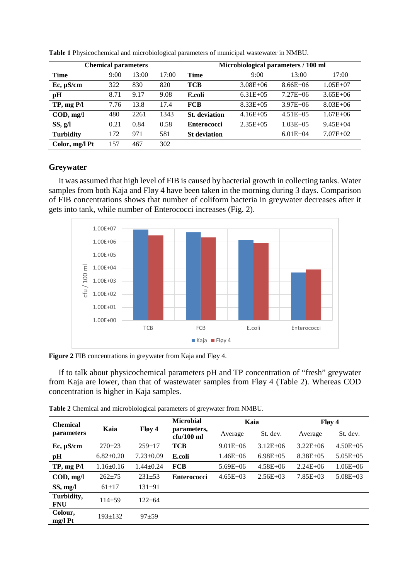| <b>Chemical parameters</b>             |      |       |       | Microbiological parameters / 100 ml |               |               |              |  |
|----------------------------------------|------|-------|-------|-------------------------------------|---------------|---------------|--------------|--|
| <b>Time</b>                            | 9:00 | 13:00 | 17:00 | Time                                | 9:00          | 13:00         | 17:00        |  |
| Ec, µS/cm                              | 322  | 830   | 820   | <b>TCB</b>                          | $3.08E + 06$  | $8.66E + 06$  | $1.05E + 07$ |  |
| pH                                     | 8.71 | 9.17  | 9.08  | E.coli                              | $6.31E + 0.5$ | $7.27E + 06$  | $3.65E + 06$ |  |
| TP, mgP/I                              | 7.76 | 13.8  | 17.4  | <b>FCB</b>                          | $8.33E + 0.5$ | $3.97E + 06$  | $8.03E + 06$ |  |
| $\mathbf{COD}, \mathbf{mg}/\mathbf{l}$ | 480  | 2261  | 1343  | <b>St.</b> deviation                | $4.16E + 05$  | $4.51E + 0.5$ | $1.67E + 06$ |  |
| SS, g/l                                | 0.21 | 0.84  | 0.58  | <b>Enterococci</b>                  | $2.35E + 0.5$ | $1.03E + 0.5$ | $9.45E + 04$ |  |
| <b>Turbidity</b>                       | 172  | 971   | 581   | <b>St</b> deviation                 |               | $6.01E + 04$  | $7.07E + 02$ |  |
| Color, mg/l Pt                         | 157  | 467   | 302   |                                     |               |               |              |  |

**Table 1** Physicochemical and microbiological parameters of municipal wastewater in NMBU.

## **Greywater**

It was assumed that high level of FIB is caused by bacterial growth in collecting tanks. Water samples from both Kaja and Fløy 4 have been taken in the morning during 3 days. Comparison of FIB concentrations shows that number of coliform bacteria in greywater decreases after it gets into tank, while number of Enterococci increases (Fig. 2).



**Figure 2** FIB concentrations in greywater from Kaja and Fløy 4.

If to talk about physicochemical parameters pH and TP concentration of "fresh" greywater from Kaja are lower, than that of wastewater samples from Fløy 4 (Table 2). Whereas COD concentration is higher in Kaja samples.

| <b>Chemical</b><br>parameters          | Kaia            | Fløy 4          | <b>Microbial</b><br>parameters,<br>$cfu/100$ ml |              | Kaia         | Fløy 4        |              |  |
|----------------------------------------|-----------------|-----------------|-------------------------------------------------|--------------|--------------|---------------|--------------|--|
|                                        |                 |                 |                                                 | Average      | St. dev.     | Average       | St. dev.     |  |
| Ec, µS/cm                              | $270+23$        | $259+17$        | <b>TCB</b>                                      | $9.01E + 06$ | $3.12E + 06$ | $3.22E + 06$  | $4.50E + 05$ |  |
| pН                                     | $6.82 \pm 0.20$ | $7.23 \pm 0.09$ | E.coli                                          | $1.46E + 06$ | $6.98E + 05$ | $8.38E + 0.5$ | $5.05E + 05$ |  |
| TP, mgP/I                              | $1.16 \pm 0.16$ | $1.44 \pm 0.24$ | <b>FCB</b>                                      | $5.69E + 06$ | $4.58E + 06$ | $2.24E + 06$  | $1.06E + 06$ |  |
| $\mathbf{COD}, \mathbf{mg}/\mathbf{l}$ | $262 + 75$      | $231 + 53$      | <b>Enterococci</b>                              | $4.65E + 03$ | $2.56E+03$   | $7.85E+03$    | $5.08E + 03$ |  |
| SS, mg/l                               | $61+17$         | $131 + 91$      |                                                 |              |              |               |              |  |
| Turbidity,<br><b>FNU</b>               | $114 + 59$      | $122 + 64$      |                                                 |              |              |               |              |  |
| Colour,<br>$mg/l$ Pt                   | $193 \pm 132$   | $97 + 59$       |                                                 |              |              |               |              |  |

**Table 2** Chemical and microbiological parameters of greywater from NMBU.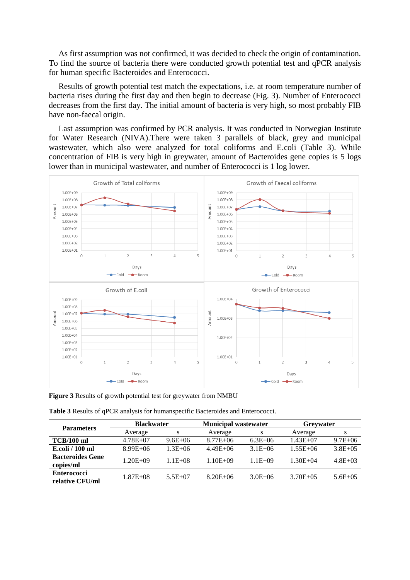As first assumption was not confirmed, it was decided to check the origin of contamination. To find the source of bacteria there were conducted growth potential test and qPCR analysis for human specific Bacteroides and Enterococci.

Results of growth potential test match the expectations, i.e. at room temperature number of bacteria rises during the first day and then begin to decrease (Fig. 3). Number of Enterococci decreases from the first day. The initial amount of bacteria is very high, so most probably FIB have non-faecal origin.

Last assumption was confirmed by PCR analysis. It was conducted in Norwegian Institute for Water Research (NIVA).There were taken 3 parallels of black, grey and municipal wastewater, which also were analyzed for total coliforms and E.coli (Table 3). While concentration of FIB is very high in greywater, amount of Bacteroides gene copies is 5 logs lower than in municipal wastewater, and number of Enterococci is 1 log lower.



**Figure 3** Results of growth potential test for greywater from NMBU

| <b>Table 3 Results of qPCR analysis for humanspecific Bacteroides and Enterococci.</b> |  |
|----------------------------------------------------------------------------------------|--|
|----------------------------------------------------------------------------------------|--|

|                                       | <b>Blackwater</b> |              | <b>Municipal wastewater</b> |             | <b>Grevwater</b> |              |
|---------------------------------------|-------------------|--------------|-----------------------------|-------------|------------------|--------------|
| <b>Parameters</b>                     | Average           | s            | Average                     | s           | Average          | s            |
| $TCB/100$ ml                          | $4.78E + 07$      | $9.6E + 06$  | $8.77E + 06$                | $6.3E + 06$ | $1.43E + 07$     | $9.7E + 06$  |
| E.coli / 100 ml                       | $8.99E + 06$      | $1.3E + 06$  | $4.49E + 06$                | $3.1E + 06$ | $1.55E + 06$     | $3.8E + 0.5$ |
| <b>Bacteroides Gene</b><br>copies/ml  | $1.20E + 09$      | $1.1E + 0.8$ | $1.10E + 09$                | $1.1E + 09$ | $1.30E + 04$     | $4.8E + 03$  |
| <b>Enterococci</b><br>relative CFU/ml | $1.87E + 0.8$     | $5.5E+07$    | $8.20E + 06$                | $3.0E + 06$ | $3.70E + 0.5$    | $5.6E + 0.5$ |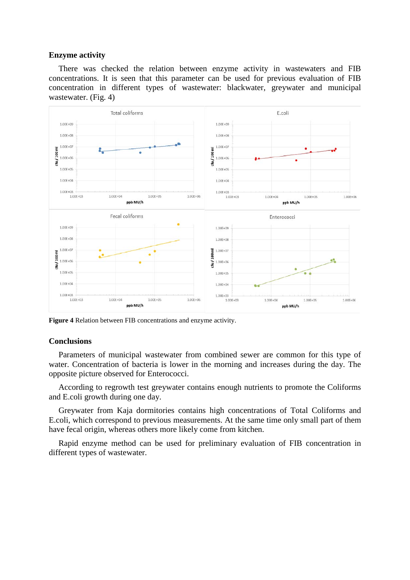### **Enzyme activity**

There was checked the relation between enzyme activity in wastewaters and FIB concentrations. It is seen that this parameter can be used for previous evaluation of FIB concentration in different types of wastewater: blackwater, greywater and municipal wastewater. (Fig. 4)



**Figure 4** Relation between FIB concentrations and enzyme activity.

#### **Conclusions**

Parameters of municipal wastewater from combined sewer are common for this type of water. Concentration of bacteria is lower in the morning and increases during the day. The opposite picture observed for Enterococci.

According to regrowth test greywater contains enough nutrients to promote the Coliforms and E.coli growth during one day.

Greywater from Kaja dormitories contains high concentrations of Total Coliforms and E.coli, which correspond to previous measurements. At the same time only small part of them have fecal origin, whereas others more likely come from kitchen.

Rapid enzyme method can be used for preliminary evaluation of FIB concentration in different types of wastewater.